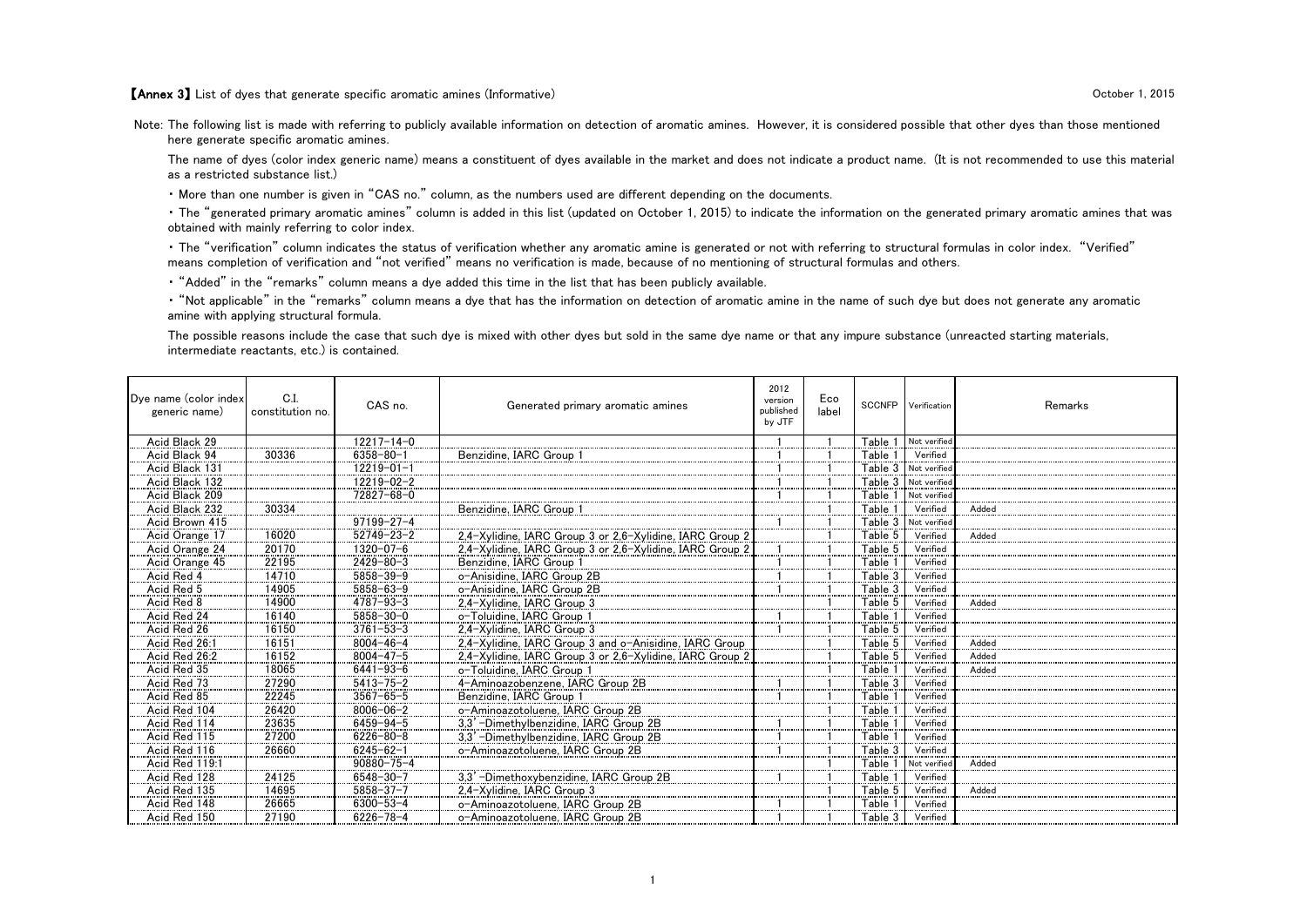【Annex 3】 List of dyes that generate specific aromatic amines (Informative) October 1, 2015

Note: The following list is made with referring to publicly available information on detection of aromatic amines. However, it is considered possible that other dyes than those mentioned here generate specific aromatic amines.

The name of dyes (color index generic name) means a constituent of dyes available in the market and does not indicate a product name. (It is not recommended to use this material as a restricted substance list.)

・ More than one number is given in "CAS no." column, as the numbers used are different depending on the documents.

・ The "generated primary aromatic amines" column is added in this list (updated on October 1, 2015) to indicate the information on the generated primary aromatic amines that was obtained with mainly referring to color index.

・ The "verification" column indicates the status of verification whether any aromatic amine is generated or not with referring to structural formulas in color index. "Verified" means completion of verification and "not verified" means no verification is made, because of no mentioning of structural formulas and others.

・ "Added" in the "remarks" column means a dye added this time in the list that has been publicly available.

・ "Not applicable" in the "remarks" column means a dye that has the information on detection of aromatic amine in the name of such dye but does not generate any aromatic amine with applying structural formula.

The possible reasons include the case that such dye is mixed with other dyes but sold in the same dye name or that any impure substance (unreacted starting materials, intermediate reactants, etc.) is contained.

| Dye name (color index<br>generic name) | C.I.<br>constitution no. | CAS no.          | Generated primary aromatic amines                        | 2012<br>version<br>published<br>by JTF | Eco<br>label |                    | SCCNFP Verification  | Remarks |
|----------------------------------------|--------------------------|------------------|----------------------------------------------------------|----------------------------------------|--------------|--------------------|----------------------|---------|
| Acid Black 29                          |                          | $12217 - 14 - 0$ |                                                          |                                        |              | Table 1            | Not verified         |         |
| Acid Black 94                          | 30336                    | $6358 - 80 - 1$  | Benzidine, IARC Group                                    |                                        |              | Table 1            | Verified             |         |
| Acid Black 131                         |                          | $12219 - 01 - 1$ |                                                          |                                        |              |                    | Table 3 Not verified |         |
| Acid Black 132                         |                          | 12219-02-2       |                                                          |                                        |              |                    | Table 3 Not verified |         |
| Acid Black 209                         |                          | 72827-68-0       |                                                          |                                        |              | Table 1            | Not verified         |         |
| Acid Black 232                         | 30334                    |                  | Benzidine, IARC Group 1                                  |                                        |              | Table 1            | Verified             | Added   |
| Acid Brown 415                         |                          | $97199 - 27 - 4$ |                                                          |                                        |              | Table 3            | Not verified         |         |
| Acid Orange 17                         | 16020                    | $52749 - 23 - 2$ | 2.4-Xylidine, IARC Group 3 or 2.6-Xylidine, IARC Group 2 |                                        |              | Table 5            | Verified             | Added   |
| Acid Orange 24                         | 20170                    | $1320 - 07 - 6$  | 2.4-Xylidine, IARC Group 3 or 2.6-Xylidine, IARC Group 2 |                                        |              | Table 5            | Verified             |         |
| Acid Orange 45                         | 22195                    | $2429 - 80 - 3$  | Benzidine, IARC Group 1                                  |                                        |              | Table 1            | Verified             |         |
| Acid Red 4                             | 14710                    | $5858 - 39 - 9$  | o-Anisidine, IARC Group 2B                               |                                        |              | Table 3            | Verified             |         |
| Acid Red 5                             | 14905                    | $5858 - 63 - 9$  | o-Anisidine, IARC Group 2B                               |                                        |              | Table 3            | Verified             |         |
| Acid Red 8                             | 14900                    | $4787 - 93 - 3$  | 2.4-Xvlidine. IARC Group 3                               |                                        |              | Table 5            | Verified             | Added   |
| Acid Red 24                            | 16140                    | $5858 - 30 - 0$  | o-Toluidine, IARC Group 1                                |                                        |              | ${\sf Table}$ :    | Verified             |         |
| Acid Red 26                            | 16150                    | $3761 - 53 - 3$  | 2.4-Xvlidine, IARC Group 3                               |                                        |              | Table 5            | Verified             |         |
| Acid Red 26:1                          | 16151                    | $8004 - 46 - 4$  | 2.4-Xvlidine. IARC Group 3 and o-Anisidine. IARC Group   |                                        |              | Table 5            | Verified             | Added   |
| Acid Red 26:2                          | 16152                    | $8004 - 47 - 5$  | 2.4-Xylidine, IARC Group 3 or 2.6-Xylidine, IARC Group 2 |                                        |              | Table 5            | Verified             | Added   |
| Acid Red 35                            | 18065                    | $6441 - 93 - 6$  | o-Toluidine, IARC Group 1                                |                                        |              | Table <sup>-</sup> | Verified             | Added   |
| Acid Red 73                            | 27290                    | $5413 - 75 - 2$  | 4-Aminoazobenzene. IARC Group 2B                         |                                        |              | Table 3            | Verified             |         |
| Acid Red 85                            | 22245                    | $3567 - 65 - 5$  | Benzidine, IARC Group                                    |                                        |              | Table <sup>-</sup> | Verified             |         |
| Acid Red 104                           | 26420                    | $8006 - 06 - 2$  | o-Aminoazotoluene, IARC Group 2B                         |                                        |              | Table 1            | Verified             |         |
| Acid Red 114                           | 23635                    | $6459 - 94 - 5$  | 3,3' -Dimethylbenzidine, IARC Group 2B                   |                                        |              | ${\sf Table}$ :    | Verified             |         |
| Acid Red 115                           | 27200                    | $6226 - 80 - 8$  | 3,3'-Dimethylbenzidine, IARC Group 2B                    |                                        |              | Table 1            | Verified             |         |
| Acid Red 116                           | 26660                    | $6245 - 62 - 1$  | o-Aminoazotoluene, IARC Group 2B                         |                                        |              | Table 3            | Verified             |         |
| Acid Red 119:1                         |                          | 90880-75-4       |                                                          |                                        |              | Table 1            | Not verified         | Added   |
| Acid Red 128                           | 24125                    | $6548 - 30 - 7$  | 3,3' -Dimethoxybenzidine, IARC Group 2B                  |                                        |              | Table <sup>-</sup> | Verified             |         |
| Acid Red 135                           | 14695                    | $5858 - 37 - 7$  | 2.4-Xvlidine. IARC Group 3                               |                                        |              | Table 5            | Verified             | Added   |
| Acid Red 148                           | 26665                    | $6300 - 53 - 4$  | o-Aminoazotoluene, IARC Group 2B                         |                                        |              | Table <sup>1</sup> | Verified             |         |
| Acid Red 150                           | 27190                    | $6226 - 78 - 4$  | o-Aminoazotoluene, IARC Group 2B                         |                                        |              | Table 3            | Verified             |         |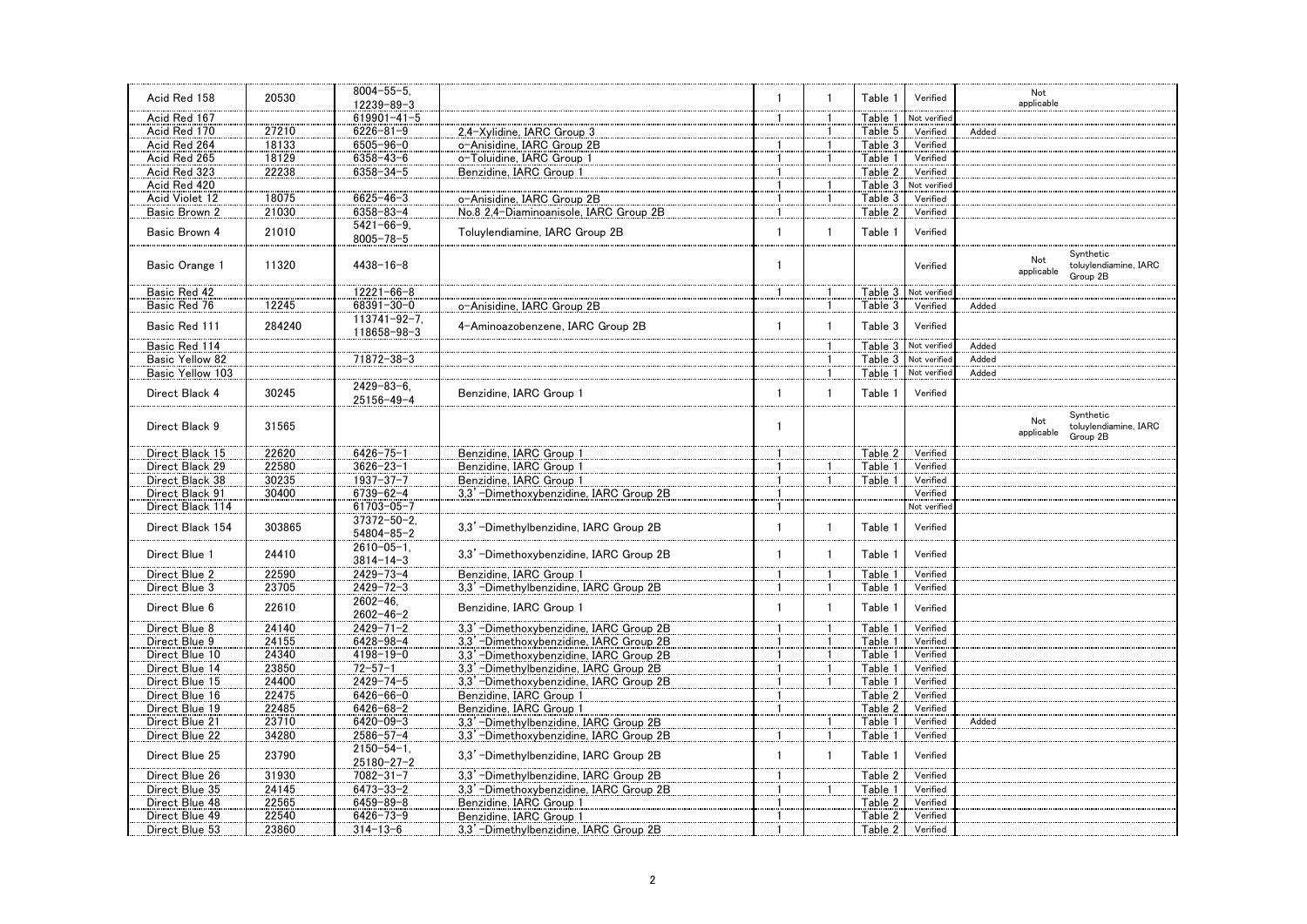|                  |        | $8004 - 55 - 5$                      |                                         |                |              |         |                      | Not                                                                 |
|------------------|--------|--------------------------------------|-----------------------------------------|----------------|--------------|---------|----------------------|---------------------------------------------------------------------|
| Acid Red 158     | 20530  | 12239-89-3                           |                                         | $\overline{1}$ |              | Table 1 | Verified             | applicable                                                          |
| Acid Red 167     |        | $619901 - 41 - 5$                    |                                         | -1             |              | Table 1 | Not verified         |                                                                     |
| Acid Red 170     | 27210  | $6226 - 81 - 9$                      | 2.4-Xvlidine, IARC Group 3              |                |              | Table 5 | Verified             | Added                                                               |
| Acid Red 264     | 18133  | $6505 - 96 - 0$                      | o-Anisidine, IARC Group 2B              |                |              | Table 3 | Verified             |                                                                     |
| Acid Red 265     | 18129  | $6358 - 43 - 6$                      | o-Toluidine, IARC Group 1               | -1             |              | Table 1 | Verified             |                                                                     |
|                  | 22238  | $6358 - 34 - 5$                      | Benzidine, IARC Group 1                 |                |              | Table 2 | Verified             |                                                                     |
| Acid Red 323     |        |                                      |                                         | -1             |              |         |                      |                                                                     |
| Acid Red 420     |        |                                      |                                         |                |              | Table 3 | Not verified         |                                                                     |
| Acid Violet 12   | 18075  | $6625 - 46 - 3$                      | o-Anisidine, IARC Group 2B              | -1             |              | Table 3 | Verified             |                                                                     |
| Basic Brown 2    | 21030  | $6358 - 83 - 4$                      | No.8 2,4-Diaminoanisole, IARC Group 2B  | -1             |              | Table 2 | Verified             |                                                                     |
| Basic Brown 4    | 21010  | $5421 - 66 - 9.$<br>$8005 - 78 - 5$  | Toluylendiamine, IARC Group 2B          | $\overline{1}$ | 1            | Table 1 | Verified             |                                                                     |
| Basic Orange 1   | 11320  | $4438 - 16 - 8$                      |                                         | $\mathbf{1}$   |              |         | Verified             | Synthetic<br>Not<br>toluylendiamine, IARC<br>applicable<br>Group 2B |
| Basic Red 42     |        | $12221 - 66 - 8$                     |                                         | -1             |              | Table 3 | Not verified         |                                                                     |
| Basic Red 76     | 12245  | 68391-30-0                           | o-Anisidine, IARC Group 2B              |                |              | Table 3 | Verified             | Added                                                               |
|                  |        | $113741 - 92 - 7$ .                  |                                         |                |              |         |                      |                                                                     |
| Basic Red 111    | 284240 | 118658-98-3                          | 4-Aminoazobenzene, IARC Group 2B        | $\mathbf{1}$   | $\mathbf{1}$ | Table 3 | Verified             |                                                                     |
| Basic Red 114    |        |                                      |                                         |                |              |         | Table 3 Not verified | Added                                                               |
| Basic Yellow 82  |        | 71872-38-3                           |                                         |                |              |         | Table 3 Not verified | Added                                                               |
| Basic Yellow 103 |        |                                      |                                         |                |              |         | Table 1 Not verified | Added                                                               |
|                  |        | $2429 - 83 - 6$                      |                                         |                |              |         |                      |                                                                     |
| Direct Black 4   | 30245  | 25156-49-4                           | Benzidine, IARC Group                   | 1              | $\mathbf{1}$ | Table 1 | Verified             |                                                                     |
| Direct Black 9   | 31565  |                                      |                                         | $\mathbf{1}$   |              |         |                      | Synthetic<br>Not<br>toluylendiamine, IARC                           |
|                  |        |                                      |                                         |                |              |         |                      | applicable<br>Group 2B                                              |
| Direct Black 15  | 22620  | $6426 - 75 - 1$                      | Benzidine, IARC Group 1                 |                |              | Table 2 | Verified             |                                                                     |
| Direct Black 29  | 22580  | $3626 - 23 - 1$                      | Benzidine, IARC Group 1                 |                |              | Table 1 | Verified             |                                                                     |
| Direct Black 38  | 30235  | $1937 - 37 - 7$                      | Benzidine, IARC Group 1                 | -1             |              | Table 1 | Verified             |                                                                     |
| Direct Black 91  | 30400  | $6739 - 62 - 4$                      |                                         |                |              |         | Verified             |                                                                     |
|                  |        |                                      | 3,3' -Dimethoxybenzidine, IARC Group 2B |                |              |         |                      |                                                                     |
| Direct Black 114 |        | 61703-05-7                           |                                         | $\mathbf{1}$   |              |         | Not verified         |                                                                     |
| Direct Black 154 | 303865 | $37372 - 50 - 2$<br>$54804 - 85 - 2$ | 3,3' -Dimethylbenzidine, IARC Group 2B  | $\mathbf{1}$   | 1            | Table 1 | Verified             |                                                                     |
| Direct Blue 1    | 24410  | $2610 - 05 - 1$ .<br>$3814 - 14 - 3$ | 3.3' -Dimethoxybenzidine. IARC Group 2B | $\mathbf{1}$   | $\mathbf{1}$ | Table 1 | Verified             |                                                                     |
| Direct Blue 2    | 22590  | $2429 - 73 - 4$                      | Benzidine, IARC Group 1                 |                |              | Table 1 | Verified             |                                                                     |
| Direct Blue 3    | 23705  | $2429 - 72 - 3$                      | 3,3' -Dimethylbenzidine, IARC Group 2B  | -1             |              | Table 1 | Verified             |                                                                     |
| Direct Blue 6    | 22610  | $2602 - 46$ .<br>$2602 - 46 - 2$     | Benzidine, IARC Group 1                 | $\mathbf{1}$   | $\mathbf{1}$ | Table 1 | Verified             |                                                                     |
| Direct Blue 8    | 24140  | $2429 - 71 - 2$                      | 3.3' -Dimethoxybenzidine, IARC Group 2B |                |              | Table 1 | Verified             |                                                                     |
| Direct Blue 9    | 24155  | 6428-98-4                            | 3,3' -Dimethoxybenzidine, IARC Group 2B | -1             |              | Table 1 | Verified             |                                                                     |
| Direct Blue 10   | 24340  | $4198 - 19 - 0$                      | 3,3' -Dimethoxybenzidine, IARC Group 2B |                |              | Table 1 | Verified             |                                                                     |
| Direct Blue 14   | 23850  | $72 - 57 - 1$                        | 3,3' -Dimethylbenzidine, IARC Group 2B  |                |              | Table 1 | Verified             |                                                                     |
| Direct Blue 15   | 24400  | $2429 - 74 - 5$                      | 3,3'-Dimethoxybenzidine, IARC Group 2B  |                |              | Table 1 | Verified             |                                                                     |
| Direct Blue 16   | 22475  | $6426 - 66 - 0$                      | Benzidine, IARC Group 1                 | -1             |              | Table 2 | Verified             |                                                                     |
| Direct Blue 19   | 22485  | $6426 - 68 - 2$                      | Benzidine, IARC Group 1                 |                |              | Table 2 | Verified             |                                                                     |
| Direct Blue 21   | 23710  | $6420 - 09 - 3$                      | 3,3'-Dimethylbenzidine, IARC Group 2B   |                |              | Table 1 | Verified             | Added                                                               |
| Direct Blue 22   | 34280  | $2586 - 57 - 4$                      | 3,3' -Dimethoxybenzidine, IARC Group 2B |                |              | Table 1 | Verified             |                                                                     |
|                  |        |                                      |                                         |                |              |         |                      |                                                                     |
| Direct Blue 25   | 23790  | $2150 - 54 - 1$ .<br>25180-27-2      | 3,3' -Dimethylbenzidine, IARC Group 2B  | $\mathbf{1}$   |              | Table 1 | Verified             |                                                                     |
| Direct Blue 26   | 31930  | $7082 - 31 - 7$                      | 3,3' -Dimethylbenzidine, IARC Group 2B  |                |              | Table 2 | Verified             |                                                                     |
| Direct Blue 35   | 24145  | $6473 - 33 - 2$                      | 3.3' -Dimethoxybenzidine, IARC Group 2B |                |              | Table 1 | Verified             |                                                                     |
| Direct Blue 48   | 22565  | $6459 - 89 - 8$                      | Benzidine, IARC Group 1                 |                |              | Table 2 | Verified             |                                                                     |
| Direct Blue 49   | 22540  | $6426 - 73 - 9$                      | Benzidine, IARC Group 1                 |                |              | Table 2 | Verified             |                                                                     |
| Direct Blue 53   | 23860  | $314 - 13 - 6$                       | 3,3' -Dimethylbenzidine, IARC Group 2B  |                |              | Table 2 | Verified             |                                                                     |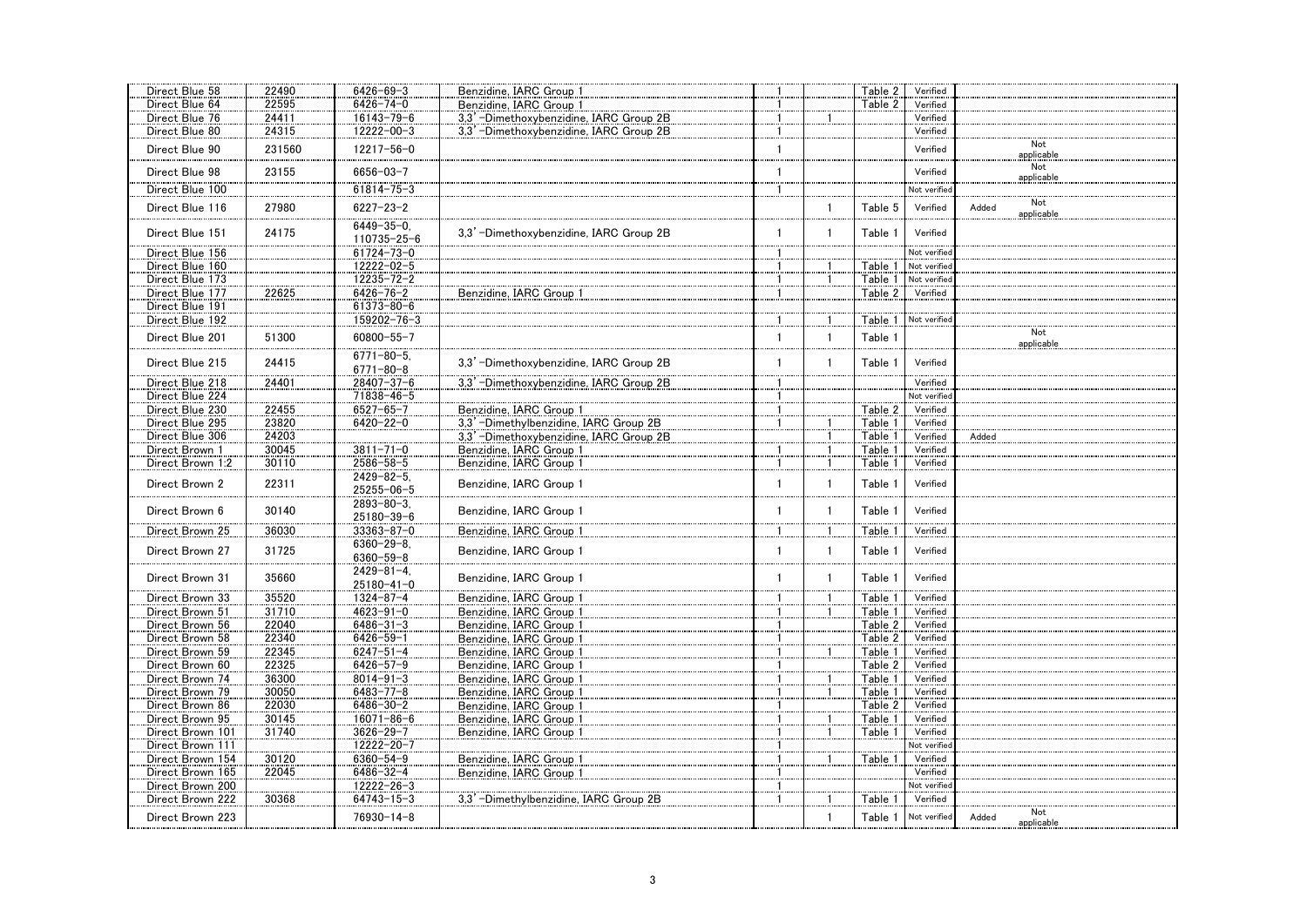| Direct Blue 58                     | 22490  | $6426 - 69 - 3$                      | Benzidine, IARC Group                   |              |              | Table 2 | Verified     |                            |
|------------------------------------|--------|--------------------------------------|-----------------------------------------|--------------|--------------|---------|--------------|----------------------------|
| Direct Blue 64                     | 22595  | $6426 - 74 - 0$                      | Benzidine, IARC Group 1                 |              |              | Table 2 | Verified     |                            |
| Direct Blue 76                     | 24411  | $16143 - 79 - 6$                     | 3,3'-Dimethoxybenzidine, IARC Group 2B  | $\mathbf{1}$ |              |         | Verified     |                            |
| Direct Blue 80                     | 24315  | 12222-00-3                           | 3.3' -Dimethoxybenzidine. IARC Group 2B | -1           |              |         | Verified     |                            |
| Direct Blue 90                     | 231560 | 12217-56-0                           |                                         | $\mathbf{1}$ |              |         | Verified     | Not<br>applicable          |
| Direct Blue 98                     | 23155  | $6656 - 03 - 7$                      |                                         | 1            |              |         | Verified     | Not<br>applicable          |
| Direct Blue 100                    |        | $61814 - 75 - 3$                     |                                         |              |              |         | Not verified |                            |
| Direct Blue 116                    | 27980  | $6227 - 23 - 2$                      |                                         |              | $\mathbf{1}$ | Table 5 | Verified     | Not<br>Added<br>applicable |
| Direct Blue 151                    | 24175  | $6449 - 35 - 0$<br>110735-25-6       | 3.3' -Dimethoxybenzidine. IARC Group 2B | $\mathbf{1}$ | $\mathbf{1}$ | Table 1 | Verified     |                            |
| Direct Blue 156                    |        | $61724 - 73 - 0$                     |                                         | 1            |              |         | Not verified |                            |
| Direct Blue 160                    |        | 12222-02-5                           |                                         | 1            |              | Table 1 | Not verified |                            |
| Direct Blue 173                    |        | $12235 - 72 - 2$                     |                                         |              |              | Table 1 | Not verified |                            |
| Direct Blue 177<br>Direct Blue 191 | 22625  | $6426 - 76 - 2$<br>61373-80-6        | Benzidine, IARC Group 1                 | $\mathbf{1}$ |              | Table 2 | Verified     |                            |
| Direct Blue 192                    |        | 159202-76-3                          |                                         |              |              | Table 1 | Not verified |                            |
| Direct Blue 201                    | 51300  | 60800-55-7                           |                                         | $\mathbf{1}$ | $\mathbf{1}$ | Table 1 |              | Not<br>applicable          |
| Direct Blue 215                    | 24415  | $6771 - 80 - 5$ .<br>$6771 - 80 - 8$ | 3,3' -Dimethoxybenzidine, IARC Group 2B | $\mathbf{1}$ | $\mathbf{1}$ | Table 1 | Verified     |                            |
| Direct Blue 218                    | 24401  | 28407-37-6                           | 3.3' -Dimethoxybenzidine. IARC Group 2B | -1           |              |         | Verified     |                            |
| Direct Blue 224                    |        | 71838-46-5                           |                                         | 1            |              |         | Not verified |                            |
| Direct Blue 230                    | 22455  | $6527 - 65 - 7$                      | Benzidine, IARC Group 1                 | 1            |              | Table 2 | Verified     |                            |
| Direct Blue 295                    | 23820  | $6420 - 22 - 0$                      | 3,3'-Dimethylbenzidine, IARC Group 2B   | $\mathbf{1}$ |              | Table 1 | Verified     |                            |
| Direct Blue 306                    | 24203  |                                      | 3,3' -Dimethoxybenzidine, IARC Group 2B |              |              | Table 1 | Verified     | Added                      |
| Direct Brown 1                     | 30045  | $3811 - 71 - 0$                      | Benzidine, IARC Group 1                 |              |              | Table 1 | Verified     |                            |
| Direct Brown 1:2                   | 30110  | $2586 - 58 - 5$                      | Benzidine, IARC Group 1                 | $\mathbf{1}$ |              | Table 1 | Verified     |                            |
| Direct Brown 2                     | 22311  | $2429 - 82 - 5$ .<br>25255-06-5      | Benzidine, IARC Group 1                 | $\mathbf{1}$ | $\mathbf{1}$ | Table 1 | Verified     |                            |
| Direct Brown 6                     | 30140  | $2893 - 80 - 3$<br>25180-39-6        | Benzidine, IARC Group 1                 | 1            | $\mathbf{1}$ | Table 1 | Verified     |                            |
| Direct Brown 25                    | 36030  | $33363 - 87 - 0$                     | Benzidine, IARC Group 1                 |              |              | Table 1 | Verified     |                            |
| Direct Brown 27                    | 31725  | $6360 - 29 - 8$<br>$6360 - 59 - 8$   | Benzidine, IARC Group 1                 | -1           | $\mathbf{1}$ | Table 1 | Verified     |                            |
| Direct Brown 31                    | 35660  | $2429 - 81 - 4$<br>$25180 - 41 - 0$  | Benzidine, IARC Group 1                 | $\mathbf{1}$ | $\mathbf{1}$ | Table 1 | Verified     |                            |
| Direct Brown 33                    | 35520  | $1324 - 87 - 4$                      | Benzidine, IARC Group 1                 | 1            |              | Table 1 | Verified     |                            |
| Direct Brown 51                    | 31710  | $4623 - 91 - 0$                      | Benzidine, IARC Group 1                 |              |              | Table 1 | Verified     |                            |
| Direct Brown 56                    | 22040  | $6486 - 31 - 3$                      | Benzidine, IARC Group 1                 |              |              | Table 2 | Verified     |                            |
| Direct Brown 58                    | 22340  | $6426 - 59 - 1$                      | Benzidine, IARC Group 1                 | $\mathbf{1}$ |              | Table 2 | Verified     |                            |
| Direct Brown 59                    | 22345  | $6247 - 51 - 4$                      | Benzidine, IARC Group 1                 | 1            |              | Table 1 | Verified     |                            |
| Direct Brown 60                    | 22325  | $6426 - 57 - 9$                      | Benzidine, IARC Group 1                 | -1           |              | Table 2 | Verified     |                            |
| Direct Brown 74                    | 36300  | $8014 - 91 - 3$                      | Benzidine, IARC Group 1                 | 1            |              | Table 1 | Verified     |                            |
| Direct Brown 79                    | 30050  | $6483 - 77 - 8$                      | Benzidine, IARC Group 1                 | -1           |              | Table 1 | Verified     |                            |
| Direct Brown 86                    | 22030  | $6486 - 30 - 2$                      | Benzidine, IARC Group 1                 | -1           |              | Table 2 | Verified     |                            |
| Direct Brown 95                    | 30145  | $16071 - 86 - 6$                     | Benzidine, IARC Group 1                 | 1            |              | Table 1 | Verified     |                            |
| Direct Brown 101                   | 31740  | $3626 - 29 - 7$                      | Benzidine, IARC Group 1                 | -1           |              | Table 1 | Verified     |                            |
| Direct Brown 111                   |        | 12222-20-7                           |                                         |              |              |         | Not verified |                            |
| Direct Brown 154                   | 30120  | $6360 - 54 - 9$                      | Benzidine, IARC Group 1                 | -1           |              | Table 1 | Verified     |                            |
| Direct Brown 165                   | 22045  | $6486 - 32 - 4$                      | Benzidine, IARC Group 1                 | -1           |              |         | Verified     |                            |
| Direct Brown 200                   |        | 12222-26-3                           |                                         | $\mathbf{1}$ |              |         | Not verified |                            |
| Direct Brown 222                   | 30368  | $64743 - 15 - 3$                     | 3.3' -Dimethylbenzidine, IARC Group 2B  | 1            |              | Table 1 | Verified     |                            |
| Direct Brown 223                   |        | 76930-14-8                           |                                         |              | $\mathbf{1}$ | Table 1 | Not verified | Not<br>Added<br>applicable |
|                                    |        |                                      |                                         |              |              |         |              |                            |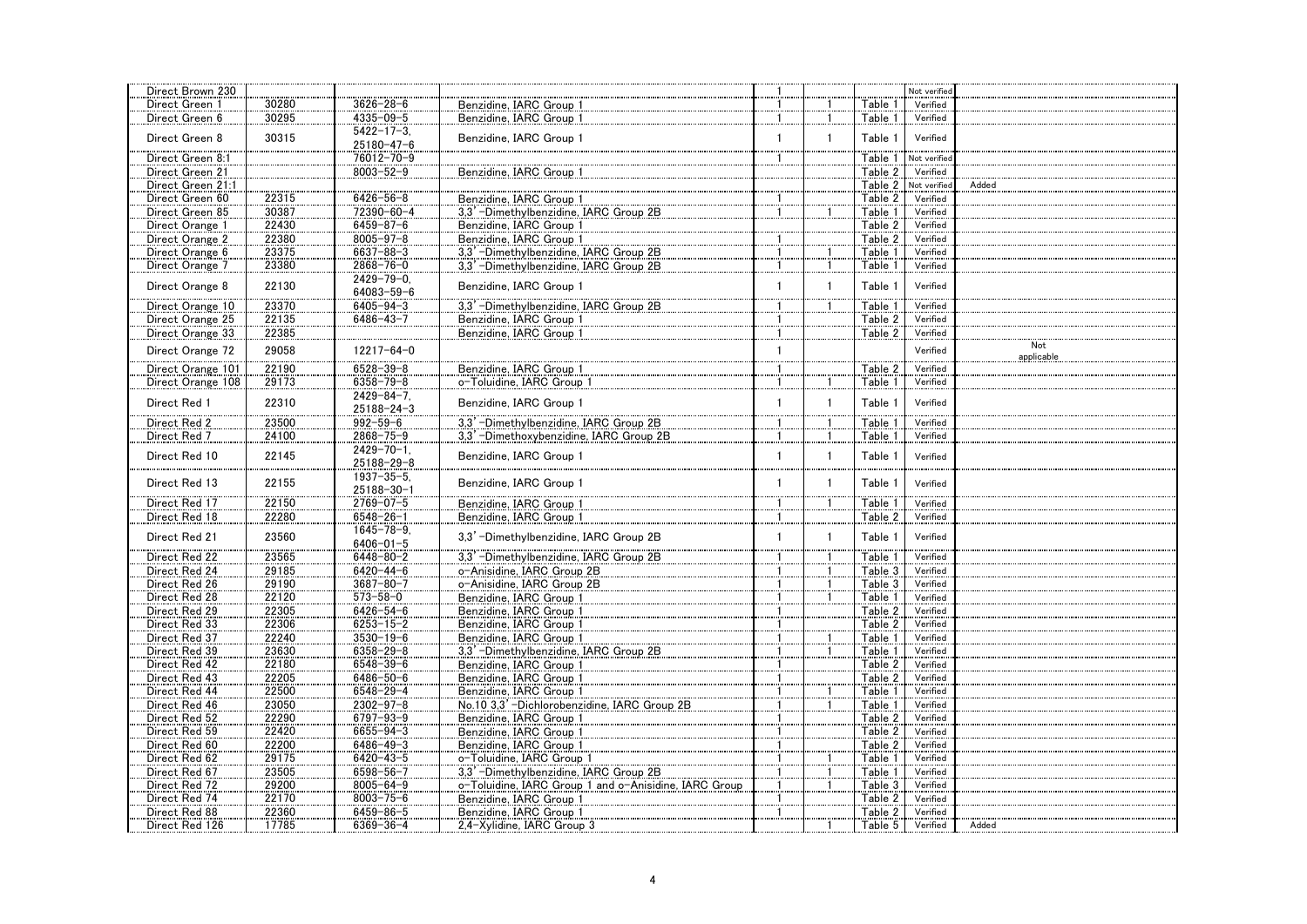| Direct Brown 230  |       |                   |                                                       |              |              |         | Not verified |                   |
|-------------------|-------|-------------------|-------------------------------------------------------|--------------|--------------|---------|--------------|-------------------|
| Direct Green 1    | 30280 | $3626 - 28 - 6$   | Benzidine, IARC Group 1                               |              |              | Table 1 | Verified     |                   |
| Direct Green 6    | 30295 | $4335 - 09 - 5$   | Benzidine, IARC Group 1                               | 1            | 1            | Table 1 | Verified     |                   |
|                   |       | $5422 - 17 - 3$   |                                                       |              |              |         |              |                   |
| Direct Green 8    | 30315 | $25180 - 47 - 6$  | Benzidine, IARC Group 1                               | 1            | $\mathbf{1}$ | Table 1 | Verified     |                   |
| Direct Green 8:1  |       | 76012-70-9        |                                                       | $\mathbf{1}$ |              | Table 1 | Not verified |                   |
|                   |       |                   | Benzidine, IARC Group 1                               |              |              | Table 2 | Verified     |                   |
| Direct Green 21   |       | $8003 - 52 - 9$   |                                                       |              |              |         |              |                   |
| Direct Green 21:1 |       |                   |                                                       |              |              | Table 2 | Not verified | Added             |
| Direct Green 60   | 22315 | $6426 - 56 - 8$   | Benzidine, IARC Group 1                               |              |              | Table 2 | Verified     |                   |
| Direct Green 85   | 30387 | 72390-60-4        | 3.3' -Dimethylbenzidine. IARC Group 2B                | 1            |              | Table 1 | Verified     |                   |
| Direct Orange 1   | 22430 | $6459 - 87 - 6$   | Benzidine, IARC Group 1                               |              |              | Table 2 | Verified     |                   |
| Direct Orange 2   | 22380 | $8005 - 97 - 8$   | Benzidine, IARC Group 1                               |              |              | Table 2 | Verified     |                   |
| Direct Orange 6   | 23375 | $6637 - 88 - 3$   | 3,3'-Dimethylbenzidine, IARC Group 2B                 |              |              | Table 1 | Verified     |                   |
| Direct Orange 7   | 23380 | $2868 - 76 - 0$   | 3,3' -Dimethylbenzidine, IARC Group 2B                |              | $\mathbf{1}$ | Table 1 | Verified     |                   |
|                   |       | $2429 - 79 - 0$   |                                                       |              |              |         |              |                   |
| Direct Orange 8   | 22130 | 64083-59-6        | Benzidine, IARC Group 1                               |              | $\mathbf{1}$ | Table 1 | Verified     |                   |
| Direct Orange 10  | 23370 | $6405 - 94 - 3$   | 3.3' -Dimethylbenzidine, IARC Group 2B                |              |              | Table 1 | Verified     |                   |
| Direct Orange 25  | 22135 | $6486 - 43 - 7$   | Benzidine, IARC Group 1                               |              |              | Table 2 | Verified     |                   |
| Direct Orange 33  | 22385 |                   |                                                       |              |              | Table 2 | Verified     |                   |
|                   |       |                   | Benzidine, IARC Group 1                               |              |              |         |              |                   |
| Direct Orange 72  | 29058 | 12217-64-0        |                                                       | $\mathbf{1}$ |              |         | Verified     | Not<br>applicable |
| Direct Orange 101 | 22190 | $6528 - 39 - 8$   | Benzidine, IARC Group 1                               |              |              | Table 2 | Verified     |                   |
|                   |       |                   |                                                       |              |              | Table 1 |              |                   |
| Direct Orange 108 | 29173 | $6358 - 79 - 8$   | o-Toluidine, IARC Group 1                             |              | 1.           |         | Verified     |                   |
| Direct Red 1      | 22310 | $2429 - 84 - 7$ . | Benzidine, IARC Group 1                               | 1            | $\mathbf{1}$ | Table 1 | Verified     |                   |
|                   |       | $25188 - 24 - 3$  |                                                       |              |              |         |              |                   |
| Direct Red 2      | 23500 | $992 - 59 - 6$    | 3,3'-Dimethylbenzidine, IARC Group 2B                 |              |              | Table 1 | Verified     |                   |
| Direct Red 7      | 24100 | $2868 - 75 - 9$   | 3,3'-Dimethoxybenzidine, IARC Group 2B                |              |              | Table 1 | Verified     |                   |
| Direct Red 10     | 22145 | $2429 - 70 - 1$ . | Benzidine, IARC Group 1                               | $\mathbf{1}$ | $\mathbf{1}$ | Table 1 | Verified     |                   |
|                   |       | 25188-29-8        |                                                       |              |              |         |              |                   |
|                   |       | $1937 - 35 - 5$   |                                                       |              |              |         |              |                   |
| Direct Red 13     | 22155 | 25188-30-1        | Benzidine, IARC Group 1                               | 1            | $\mathbf{1}$ | Table 1 | Verified     |                   |
| Direct Red 17     | 22150 | $2769 - 07 - 5$   | Benzidine, IARC Group 1                               |              |              | Table 1 | Verified     |                   |
| Direct Red 18     | 22280 | $6548 - 26 - 1$   | Benzidine, IARC Group 1                               |              |              | Table 2 | Verified     |                   |
|                   |       |                   |                                                       |              |              |         |              |                   |
| Direct Red 21     | 23560 | $1645 - 78 - 9$   | 3,3'-Dimethylbenzidine, IARC Group 2B                 | 1            | $\mathbf{1}$ | Table 1 | Verified     |                   |
|                   |       | $6406 - 01 - 5$   |                                                       |              |              |         |              |                   |
| Direct Red 22     | 23565 | $6448 - 80 - 2$   | 3,3' -Dimethylbenzidine, IARC Group 2B                |              |              | Table 1 | Verified     |                   |
| Direct Red 24     | 29185 | $6420 - 44 - 6$   | o-Anisidine, IARC Group 2B                            | 1            | 1            | Table 3 | Verified     |                   |
| Direct Red 26     | 29190 | $3687 - 80 - 7$   | o-Anisidine, IARC Group 2B                            |              |              | Table 3 | Verified     |                   |
| Direct Red 28     | 22120 | $573 - 58 - 0$    | Benzidine, IARC Group 1                               |              |              | Table 1 | Verified     |                   |
| Direct Red 29     | 22305 | $6426 - 54 - 6$   | Benzidine, IARC Group 1                               | 1            |              | Table 2 | Verified     |                   |
| Direct Red 33     | 22306 | $6253 - 15 - 2$   | Benzidine, IARC Group 1                               |              |              | Table 2 | Verified     |                   |
| Direct Red 37     | 22240 | $3530 - 19 - 6$   | Benzidine, IARC Group 1                               |              |              | Table 1 | Verified     |                   |
| Direct Red 39     | 23630 | $6358 - 29 - 8$   | 3,3'-Dimethylbenzidine, IARC Group 2B                 | 1            |              | Table 1 | Verified     |                   |
| Direct Red 42     | 22180 | $6548 - 39 - 6$   | Benzidine, IARC Group 1                               |              |              | Table 2 | Verified     |                   |
| Direct Red 43     | 22205 | $6486 - 50 - 6$   | Benzidine, IARC Group 1                               |              |              | Table 2 | Verified     |                   |
| Direct Red 44     |       | $6548 - 29 - 4$   | Benzidine, IARC Group 1                               | 1            |              | Table 1 | Verified     |                   |
|                   | 22500 |                   |                                                       |              | 1            |         |              |                   |
| Direct Red 46     | 23050 | $2302 - 97 - 8$   | No.10 3.3' -Dichlorobenzidine. IARC Group 2B          |              |              | Table 1 | Verified     |                   |
| Direct Red 52     | 22290 | 6797-93-9         | Benzidine, IARC Group 1                               |              |              | Table 2 | Verified     |                   |
| Direct Red 59     | 22420 | $6655 - 94 - 3$   | Benzidine, IARC Group 1                               |              |              | Table 2 | Verified     |                   |
| Direct Red 60     | 22200 | $6486 - 49 - 3$   | Benzidine, IARC Group 1                               |              |              | Table 2 | Verified     |                   |
| Direct Red 62     | 29175 | $6420 - 43 - 5$   | o-Toluidine, IARC Group 1                             |              |              | Table 1 | Verified     |                   |
| Direct Red 67     | 23505 | 6598-56-7         | 3,3'-Dimethylbenzidine, IARC Group 2B                 |              |              | Table 1 | Verified     |                   |
| Direct Red 72     | 29200 | $8005 - 64 - 9$   | o-Toluidine, IARC Group 1 and o-Anisidine, IARC Group |              |              | Table 3 | Verified     |                   |
| Direct Red 74     | 22170 | $8003 - 75 - 6$   | Benzidine, IARC Group 1                               |              |              | Table 2 | Verified     |                   |
| Direct Red 88     | 22360 | $6459 - 86 - 5$   | Benzidine, IARC Group 1                               | $\mathbf{1}$ |              | Table 2 | Verified     |                   |
| Direct Red 126    | 17785 | $6369 - 36 - 4$   | 2,4-Xylidine, IARC Group 3                            |              |              | Table 5 | Verified     | Added             |
|                   |       |                   |                                                       |              |              |         |              |                   |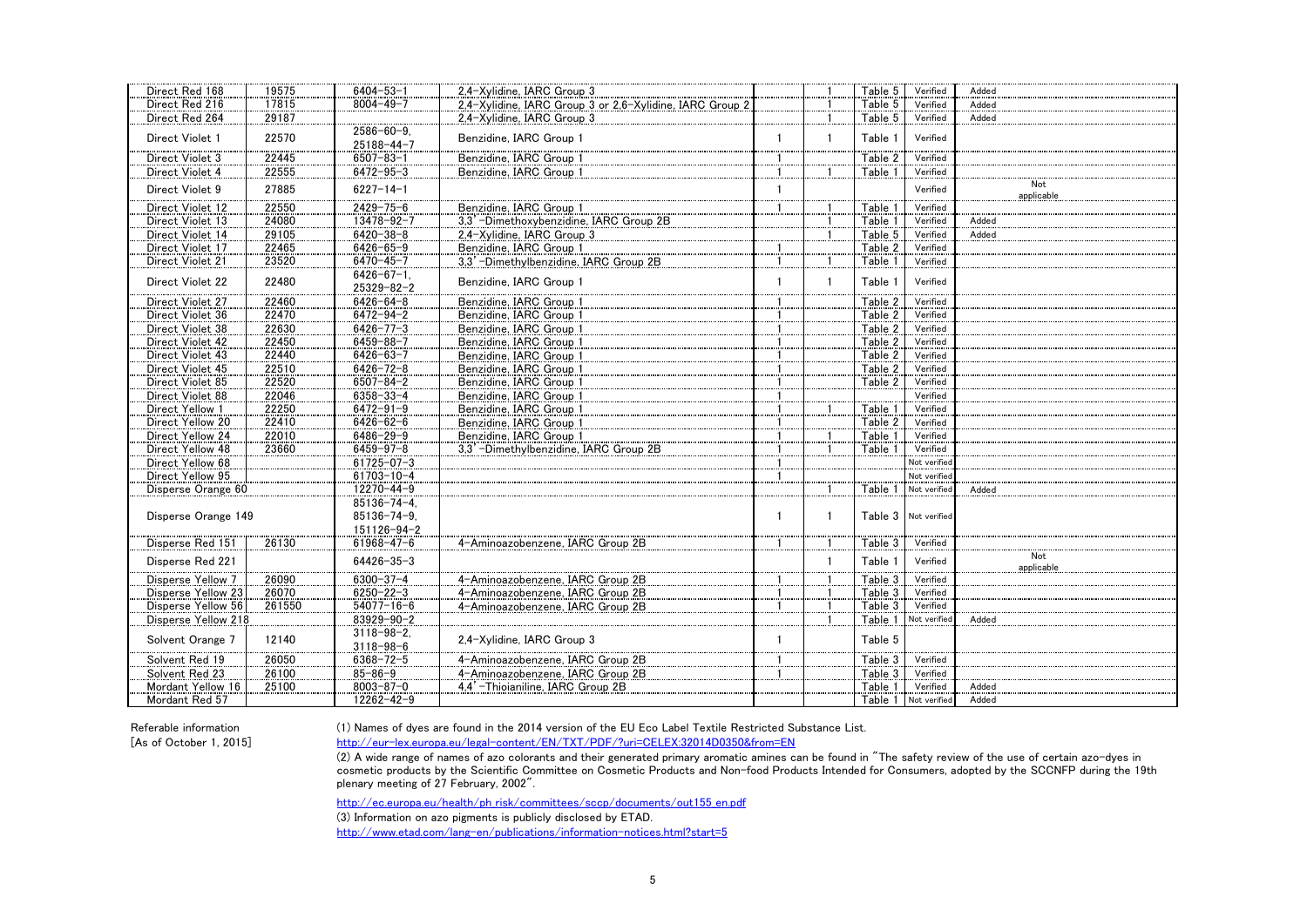| Direct Red 168      | 19575  | $6404 - 53 - 1$    | 2,4-Xylidine, IARC Group 3                               |              |              | Table 5 | Verified             | Added      |
|---------------------|--------|--------------------|----------------------------------------------------------|--------------|--------------|---------|----------------------|------------|
| Direct Red 216      | 17815  | $8004 - 49 - 7$    | 2,4-Xylidine, IARC Group 3 or 2,6-Xylidine, IARC Group 2 |              |              | Table 5 | Verified             | Added      |
| Direct Red 264      | 29187  |                    | 2.4-Xylidine, IARC Group 3                               |              | 1            | Table 5 | Verified             | Added      |
|                     |        | $2586 - 60 - 9$    |                                                          |              |              |         |                      |            |
| Direct Violet 1     | 22570  | $25188 - 44 - 7$   | Benzidine, IARC Group 1                                  |              | $\mathbf{1}$ | Table 1 | Verified             |            |
| Direct Violet 3     | 22445  | $6507 - 83 - 1$    | Benzidine, IARC Group 1                                  |              |              | Table 2 | Verified             |            |
| Direct Violet 4     | 22555  | $6472 - 95 - 3$    | Benzidine, IARC Group 1                                  |              |              | Table 1 | Verified             |            |
|                     |        |                    |                                                          |              |              |         |                      | Not        |
| Direct Violet 9     | 27885  | $6227 - 14 - 1$    |                                                          |              |              |         | Verified             | applicable |
| Direct Violet 12    | 22550  | $2429 - 75 - 6$    | Benzidine, IARC Group 1                                  |              |              | Table 1 | Verified             |            |
| Direct Violet 13    | 24080  | 13478-92-7         | 3,3' -Dimethoxybenzidine, IARC Group 2B                  |              |              | Table 1 | Verified             | Added      |
| Direct Violet 14    | 29105  | $6420 - 38 - 8$    | 2.4-Xvlidine. IARC Group 3                               |              |              | Table 5 | Verified             | Added      |
| Direct Violet 17    | 22465  | $6426 - 65 - 9$    | Benzidine, IARC Group 1                                  |              |              | Table 2 | Verified             |            |
| Direct Violet 21    | 23520  | $6470 - 45 - 7$    | 3,3'-Dimethylbenzidine, IARC Group 2B                    | $\mathbf{1}$ |              | Table 1 | Verified             |            |
|                     |        | $6426 - 67 - 1$ .  |                                                          |              |              |         |                      |            |
| Direct Violet 22    | 22480  | 25329-82-2         | Benzidine, IARC Group 1                                  |              | $\mathbf{1}$ | Table 1 | Verified             |            |
| Direct Violet 27    | 22460  | $6426 - 64 - 8$    | Benzidine, IARC Group 1                                  |              |              | Table 2 | Verified             |            |
| Direct Violet 36    | 22470  | $6472 - 94 - 2$    | Benzidine, IARC Group 1                                  |              |              | Table 2 | Verified             |            |
| Direct Violet 38    | 22630  | $6426 - 77 - 3$    | Benzidine, IARC Group 1                                  |              |              | Table 2 | Verified             |            |
| Direct Violet 42    | 22450  | $6459 - 88 - 7$    | Benzidine, IARC Group 1                                  |              |              | Table 2 | Verified             |            |
| Direct Violet 43    | 22440  | $6426 - 63 - 7$    | Benzidine, IARC Group 1                                  |              |              | Table 2 | Verified             |            |
| Direct Violet 45    | 22510  | $6426 - 72 - 8$    | Benzidine, IARC Group 1                                  |              |              | Table 2 | Verified             |            |
| Direct Violet 85    | 22520  | $6507 - 84 - 2$    | Benzidine, IARC Group 1                                  |              |              | Table 2 | Verified             |            |
| Direct Violet 88    | 22046  | $6358 - 33 - 4$    | Benzidine, IARC Group 1                                  |              |              |         | Verified             |            |
| Direct Yellow 1     | 22250  | $6472 - 91 - 9$    |                                                          |              |              | Table 1 | Verified             |            |
| Direct Yellow 20    | 22410  | $6426 - 62 - 6$    | Benzidine, IARC Group 1                                  |              |              | Table 2 | Verified             |            |
|                     |        |                    | Benzidine, IARC Group 1                                  |              |              |         |                      |            |
| Direct Yellow 24    | 22010  | $6486 - 29 - 9$    | Benzidine, IARC Group 1                                  |              |              | Table 1 | Verified             |            |
| Direct Yellow 48    | 23660  | $6459 - 97 - 8$    | 3.3' -Dimethylbenzidine, IARC Group 2B                   |              |              | Table 1 | Verified             |            |
| Direct Yellow 68    |        | $61725 - 07 - 3$   |                                                          |              |              |         | Not verified         |            |
| Direct Yellow 95    |        | 61703-10-4         |                                                          |              |              |         | Not verified         |            |
| Disperse Orange 60  |        | 12270-44-9         |                                                          |              |              | Table 1 | Not verified         | Added      |
|                     |        | $85136 - 74 - 4$ . |                                                          |              |              |         |                      |            |
| Disperse Orange 149 |        | $85136 - 74 - 9$   |                                                          | -1           | $\mathbf{1}$ |         | Table 3 Not verified |            |
|                     |        | 151126-94-2        |                                                          |              |              |         |                      |            |
| Disperse Red 151    | 26130  | $61968 - 47 - 6$   | 4-Aminoazobenzene. IARC Group 2B                         |              |              | Table 3 | Verified             |            |
| Disperse Red 221    |        | $64426 - 35 - 3$   |                                                          |              | $\mathbf{1}$ | Table 1 | Verified             | Not        |
|                     |        |                    |                                                          |              |              |         |                      | applicable |
| Disperse Yellow 7   | 26090  | $6300 - 37 - 4$    | 4-Aminoazobenzene, IARC Group 2B                         |              |              | Table 3 | Verified             |            |
| Disperse Yellow 23  | 26070  | $6250 - 22 - 3$    | 4-Aminoazobenzene, IARC Group 2B                         |              |              | Table 3 | Verified             |            |
| Disperse Yellow 56  | 261550 | $54077 - 16 - 6$   | 4-Aminoazobenzene. IARC Group 2B                         |              |              | Table 3 | Verified             |            |
| Disperse Yellow 218 |        | 83929-90-2         |                                                          |              |              | Table 1 | Not verified         | Added      |
| Solvent Orange 7    | 12140  | $3118 - 98 - 2$    | 2.4-Xylidine, IARC Group 3                               | $\mathbf{1}$ |              | Table 5 |                      |            |
|                     |        | $3118 - 98 - 6$    |                                                          |              |              |         |                      |            |
| Solvent Red 19      | 26050  | $6368 - 72 - 5$    | 4-Aminoazobenzene, IARC Group 2B                         |              |              | Table 3 | Verified             |            |
| Solvent Red 23      | 26100  | $85 - 86 - 9$      | 4-Aminoazobenzene. IARC Group 2B                         |              |              | Table 3 | Verified             |            |
| Mordant Yellow 16   | 25100  | $8003 - 87 - 0$    | 4.4'-Thioianiline, IARC Group 2B                         |              |              | Table 1 | Verified             | Added      |
| Mordant Red 57      |        | 12262-42-9         |                                                          |              |              |         | Table 1 Not verified | Added      |

Referable information (1) Names of dyes are found in the 2014 version of the EU Eco Label Textile Restricted Substance List.

[As of October 1, 2015] http://eur-lex.europa.eu/legal-content/EN/TXT/PDF/?uri=CELEX:32014D0350&from=EN

 $(2)$  A wide range of names of azo colorants and their generated primary aromatic amines can be found in "The safety review of the use of certain azo-dyes in cosmetic products by the Scientific Committee on Cosmetic Products and Non-food Products Intended for Consumers, adopted by the SCCNFP during the 19th plenary meeting of 27 February, 2002".

http://ec.europa.eu/health/ph\_risk/committees/sccp/documents/out155\_en.pdf

(3) Information on azo pigments is publicly disclosed by ETAD.

http://www.etad.com/lang-en/publications/information-notices.html?start=5